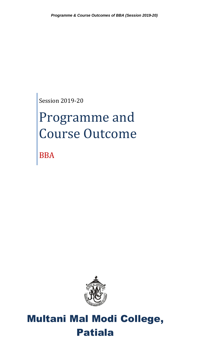Session 2019-20

# Programme and Course Outcome

BBA



# Multani Mal Modi College, Patiala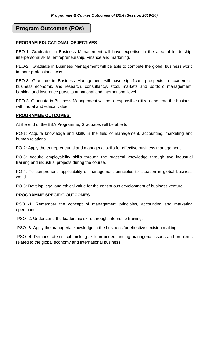# **Program Outcomes (POs)**

# **PROGRAM EDUCATIONAL OBJECTIVES**

PEO-1: Graduates in Business Management will have expertise in the area of leadership, interpersonal skills, entrepreneurship, Finance and marketing.

PEO-2: Graduate in Business Management will be able to compete the global business world in more professional way.

PEO-3: Graduate in Business Management will have significant prospects in academics, business economic and research, consultancy, stock markets and portfolio management, banking and insurance pursuits at national and international level.

PEO-3: Graduate in Business Management will be a responsible citizen and lead the business with moral and ethical value.

#### **PROGRAMME OUTCOMES:**

At the end of the BBA Programme, Graduates will be able to

PO-1: Acquire knowledge and skills in the field of management, accounting, marketing and human relations.

PO-2: Apply the entrepreneurial and managerial skills for effective business management.

PO-3: Acquire employability skills through the practical knowledge through two industrial training and industrial projects during the course.

PO-4: To comprehend applicability of management principles to situation in global business world.

PO-5: Develop legal and ethical value for the continuous development of business venture.

#### **PROGRAMME SPECIFIC OUTCOMES**

PSO -1: Remember the concept of management principles, accounting and marketing operations.

PSO- 2: Understand the leadership skills through internship training.

PSO- 3: Apply the managerial knowledge in the business for effective decision making.

PSO- 4: Demonstrate critical thinking skills in understanding managerial issues and problems related to the global economy and international business.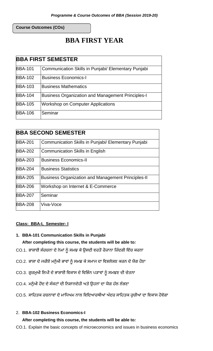**Course Outcomes (COs)**

# **BBA FIRST YEAR**

| <b>BBA FIRST SEMESTER</b> |                                                          |  |
|---------------------------|----------------------------------------------------------|--|
| <b>BBA-101</b>            | Communication Skills in Punjabi/ Elementary Punjabi      |  |
| <b>BBA-102</b>            | <b>Business Economics-I</b>                              |  |
| <b>BBA-103</b>            | <b>Business Mathematics</b>                              |  |
| <b>BBA-104</b>            | <b>Business Organization and Management Principles-I</b> |  |
| <b>BBA-105</b>            | Workshop on Computer Applications                        |  |
| <b>BBA-106</b>            | Seminar                                                  |  |

| <b>BBA SECOND SEMESTER</b> |                                                           |  |  |  |
|----------------------------|-----------------------------------------------------------|--|--|--|
|                            |                                                           |  |  |  |
| <b>BBA-201</b>             | Communication Skills in Punjabi/ Elementary Punjabi       |  |  |  |
| <b>BBA-202</b>             | <b>Communication Skills in English</b>                    |  |  |  |
| <b>BBA-203</b>             | <b>Business Economics-II</b>                              |  |  |  |
| <b>BBA-204</b>             | <b>Business Statistics</b>                                |  |  |  |
| <b>BBA-205</b>             | <b>Business Organization and Management Principles-II</b> |  |  |  |
| <b>BBA-206</b>             | Workshop on Internet & E-Commerce                         |  |  |  |
| <b>BBA-207</b>             | Seminar                                                   |  |  |  |
| <b>BBA-208</b>             | Viva-Voce                                                 |  |  |  |

# **Class: BBA-I, Semester- I**

# **1. BBA-101 Communication Skills in Punjabi**

# **After completing this course, the students will be able to***:*

- CO.1. ਭਾਸ਼ਾਈ ਸੰਰਚਨਾ ਦੇ ਨੇਮਾਂ ਨੂੰ ਸਮਝ ਕੇ ਉਸਦੀ ਵਰਤੋਂ ਰੋਜ਼ਾਨਾ ਜ਼ਿੰਦਗੀ ਵਿੱਚ ਕਰਨਾ
- CO.2. ਭਾਸ਼ਾ ਦੇ ਜਰੀਏ ਮਨੁੱਖੀ ਭਾਵਾਂ ਨੂੰ ਸਮਝ ਕੇ ਸਮਾਜ ਦਾ ਵਿਸ਼ਲੇਸ਼ਣ ਕਰਨ ਦੇ ਯੋਗ ਹੋਣਾ
- CO.3. ਗੁਰਮੁਖੀ ਲਿਪੀ ਦੇ ਭਾਸ਼ਾਈ ਵਿਕਾਸ ਦੇ ਵਿਭਿੰਨ ਪੜਾਵਾਂ ਨੂੰ ਸਮਝਣ ਦੀ ਚੇਤਨਾ
- CO.4. ਮਨੁੱਖੀ ਹੋਂਦ ਦੇ ਸੰਕਟਾਂ ਦੀ ਨਿਸ਼ਾਨਦੇਹੀ ਅਤੇ ਉਹਨਾਂ ਦਾ ਯੋਗ ਹੱਲ ਲੱਭਣਾ
- CO.5. ਸਾਹਿਤਕ ਰਚਨਾਵਾਂ ਦੇ ਮਾਧਿਅਮ ਨਾਲ ਵਿਦਿਆਰਥੀਆਂ ਅੰਦਰ ਸਾਹਿਤਕ ਰੁਚੀਆਂ ਦਾ ਵਿਕਾਸ ਹੋਵੇਗਾ

# 2. **BBA-102 Business Economics-I**

# **After completing this course, the students will be able to***:*

CO.1. Explain the basic concepts of microeconomics and issues in business economics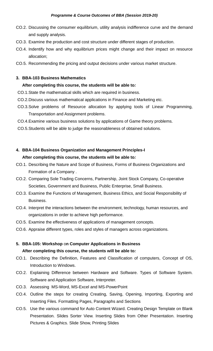- CO.2. Discussing the consumer equilibrium, utility analysis indifference curve and the demand and supply analysis.
- CO.3. Examine the production and cost structure under different stages of production.
- CO.4. Indentify how and why equilibrium prices might change and their impact on resource allocation;
- CO.5. Recommending the pricing and output decisions under various market structure.

# **3. BBA-103 Business Mathematics**

# **After completing this course, the students will be able to***:*

- CO.1.State the mathematical skills which are required in business.
- CO.2.Discuss various mathematical applications in Finance and Marketing etc.
- CO.3.Solve problems of Resource allocation by applying tools of Linear Programming, Transportation and Assignment problems.
- CO.4.Examine various business solutions by applications of Game theory problems.
- CO.5.Students will be able to judge the reasonableness of obtained solutions.

# **4. BBA-104 Business Organization and Management Principles-I**

- CO.1. Describing the Nature and Scope of Business, Forms of Business Organizations and Formation of a Company .
- CO.2. Comparing Sole Trading Concerns, Partnership, Joint Stock Company, Co-operative Societies, Government and Business, Public Enterprise, Small Business.
- CO.3. Examine the Functions of Management, Business Ethics, and Social Responsibility of Business.
- CO.4. Interpret the interactions between the environment, technology, human resources, and organizations in order to achieve high performance.
- CO.5. Examine the effectiveness of applications of management concepts.
- CO.6. Appraise different types, roles and styles of managers across organizations.
- **5. BBA-105: Workshop** o**n Computer Applications in Business After completing this course, the students will be able to***:*
- CO.1. Describing the Definition, Features and Classification of computers, Concept of OS, Introduction to Windows.
- CO.2. Explaining Difference between Hardware and Software. Types of Software System. Software and Application Software, Interpreter.
- CO.3. Assessing MS-Word, MS-Excel and MS-PowerPoint
- CO.4. Outline the steps for creating Creating, Saving, Opening, Importing, Exporting and Inserting Files. Formatting Pages, Paragraphs and Sections
- CO.5. Use the various command for Auto Content Wizard. Creating Design Template on Blank Presentation. Slides Sorter View. Inserting Slides from Other Presentation. Inserting Pictures & Graphics. Slide Show, Printing Slides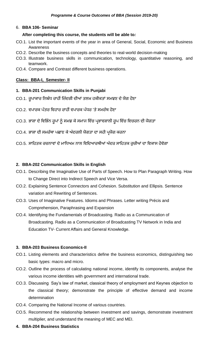#### 6. **BBA 106- Seminar**

## **After completing this course, the students will be able to***:*

- CO.1. List the important events of the year in area of General, Social, Economic and Business Awareness
- CO.2. Describe the business concepts and theories to real-world decision-making
- CO.3. Illustrate business skills in communication, technology, quantitative reasoning, and teamwork.
- CO.4. Compare and Contrast different business operations.

# **Class: BBA-I, Semester- II**

- **1. BBA-201 Communication Skills in Punjabi**
- CO.1. ਰੁਪਾਕਾਰ ਨਿਬੰਧ ਰਾਹੀਂ ਜ਼ਿੰਦਗੀ ਦੀਆਂ ਤਲਖ਼ ਹਕੀਕਤਾਂ ਸਮਝਣ ਦੇ ਯੋਗ ਹੋਣਾ
- CO.2. ਵਪਾਰਕ ਪੱਤਰ ਵਿਹਾਰ ਰਾਹੀਂ ਵਪਾਰਕ ਪੱਧਰ 'ਤੇ ਸਮਰੱਥ ਹੋਣਾ
- CO.3. ਭਾਸ਼ਾ ਦੇ ਵਿਭਿੰਨ ਰੁਪਾਂ ਨੂੰ ਸਮਝ ਕੇ ਸਮਾਜ ਵਿੱਚ ਪ੍ਰਭਾਵਸ਼ਾਲੀ ਰੁਪ ਵਿੱਚ ਵਿਚਰਨ ਦੀ ਯੋਗਤਾ
- CO.4. ਭਾਸ਼ਾ ਦੀ ਸਮਰੱਥਾ ਪਛਾਣ ਕੇ ਅੰਦਰਲੀ ਯੋਗਤਾ ਦਾ ਸਹੀ ਪਯੋਗ ਕਰਨਾ
- CO.5. ਸਾਹਿਤਕ ਰਚਨਾਵਾਂ ਦੇ ਮਾਧਿਅਮ ਨਾਲ ਵਿਦਿਆਰਥੀਆਂ ਅੰਦਰ ਸਾਹਿਤਕ ਰੁਚੀਆਂ ਦਾ ਵਿਕਾਸ ਹੋਵੇਗਾ

# **2. BBA-202 Communication Skills in English**

- CO.1. Describing the Imaginative Use of Parts of Speech. How to Plan Paragraph Writing. How to Change Direct into Indirect Speech and Vice Versa.
- CO.2. Explaining Sentence Connectors and Cohesion. Substitution and Ellipsis. Sentence variation and Rewriting of Sentences.
- CO.3. Uses of Imaginative Features. Idioms and Phrases. Letter writing Précis and Comprehension, Paraphrasing and Expansion
- CO.4. Identifying the Fundamentals of Broadcasting. Radio as a Communication of Broadcasting. Radio as a Communication of Broadcasting TV Network in India and Education TV- Current Affairs and General Knowledge.

# **3. BBA-203 Business Economics-II**

- CO.1. Listing elements and characteristics define the business economics, distinguishing two basic types: macro and micro.
- CO.2. Outline the process of calculating national income, identify its components, analyse the various income identities with government and international trade.
- CO.3. Discussing Say's law of market, classical theory of employment and Keynes objection to the classical theory; demonstrate the principle of effective demand and income determination
- CO.4. Comparing the National Income of various countries.
- CO.5. Recommend the relationship between investment and savings, demonstrate investment multiplier, and understand the meaning of MEC and MEI.
- **4. BBA-204 Business Statistics**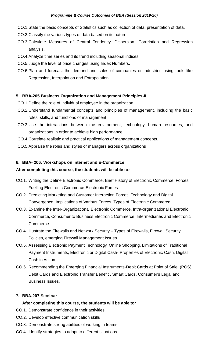- CO.1.State the basic concepts of Statistics such as collection of data, presentation of data.
- CO.2.Classify the various types of data based on its nature.
- CO.3.Calculate Measures of Central Tendency, Dispersion, Correlation and Regression analysis.
- CO.4.Analyze time series and its trend including seasonal indices.
- CO.5.Judge the level of price changes using Index Numbers.
- CO.6.Plan and forecast the demand and sales of companies or industries using tools like Regression, Interpolation and Extrapolation.

#### **5. BBA-205 Business Organization and Management Principles-II**

CO.1.Define the role of individual employee in the organization.

- CO.2.Understand fundamental concepts and principles of management, including the basic roles, skills, and functions of management.
- CO.3.Use the interactions between the environment, technology, human resources, and organizations in order to achieve high performance.
- CO.4.Correlate realistic and practical applications of management concepts.
- CO.5.Appraise the roles and styles of managers across organizations

# **6. BBA- 206: Workshops on Internet and E-Commerce**

# **After completing this course, the students will be able to***:*

- CO.1. Writing the Define Electronic Commerce, Brief History of Electronic Commerce, Forces Fuelling Electronic Commerce-Electronic Forces.
- CO.2. Predicting Marketing and Customer Interaction Forces. Technology and Digital Convergence, Implications of Various Forces, Types of Electronic Commerce.
- CO.3. Examine the Inter-Organizational Electronic Commerce, Intra-organizational Electronic Commerce, Consumer to Business Electronic Commerce, Intermediaries and Electronic Commerce.
- CO.4. Illustrate the Firewalls and Network Security Types of Firewalls, Firewall Security Policies, emerging Firewall Management Issues.
- CO.5. Assessing Electronic Payment Technology, Online Shopping, Limitations of Traditional Payment Instruments, Electronic or Digital Cash- Properties of Electronic Cash, Digital Cash in Action,
- CO.6. Recommending the Emerging Financial Instruments-Debit Cards at Point of Sale. (POS), Debit Cards and Electronic Transfer Benefit , Smart Cards, Consumer's Legal and Business Issues.

#### **7. BBA-207 Seminar**

- CO.1. Demonstrate confidence in their activities
- CO.2. Develop effective communication skills
- CO.3. Demonstrate strong abilities of working in teams
- CO.4. Identify strategies to adapt to different situations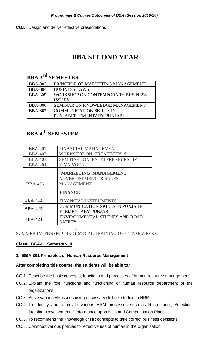**CO.5.** Design and deliver effective presentations

# **BBA SECOND YEAR**

# **BBA 3rd SEMESTER**

| <b>BBA-303</b> | PRINCIPLE OF MARKETING MANAGEMENT      |
|----------------|----------------------------------------|
| <b>BBA-304</b> | <b>BUSINESS LAWS</b>                   |
| <b>BBA-305</b> | WORKSHOP ON CONTEMPORARY BUSINESS      |
|                | <b>ISSUES</b>                          |
| <b>BBA-306</b> | <b>SEMINAR ON KNOWLEDGE MANAGEMENT</b> |
| <b>BBA-307</b> | <b>COMMUNICATION SKILLS IN</b>         |
|                | PUNJABI/ELEMENTARY PUNJABI             |

# **BBA 4th SEMESTER**

| <b>BBA-401</b> | <b>FINANCIAL MANAGEMENT</b>             |
|----------------|-----------------------------------------|
| <b>BBA-402</b> | WORKSHOP ON CREATIVITY &                |
| <b>BBA-403</b> | SEMINAR ON ENTREPRENEURSHIP             |
| <b>BBA-404</b> | <b>VIVA-VOCE</b>                        |
|                | <b>MARKETING MANAGEMENT</b>             |
|                | ADVERTISEMENT & SALES                   |
| <b>BBA-406</b> | <b>MANAGEMENT</b>                       |
|                | <b>FINANCE</b>                          |
| <b>BBA-412</b> | FINANCIAL INSTRUMENTS                   |
| <b>BBA-423</b> | <b>COMMUNICATION SKILLS IN PUNJABI/</b> |
|                | ELEMENTARY PUNJABI                      |
| <b>BBA-424</b> | ENVIRONMENTAL STUDIES AND ROAD          |
|                | <b>SAFETY</b>                           |
|                |                                         |

SUMMER INTERNSHIP : INDUSTRIAL TRAINING OF · 4 TO 6 WEEKS

# **Class: BBA-II, Semester- III**

# **1. BBA-301 Principles of Human Resource Management**

- CO.1. Describe the basic concepts, functions and processes of human resource management.
- CO.2. Explain the role, functions and functioning of human resource department of the organizations.
- CO.3. Solve various HR issues using necessary skill set studied in HRM.
- CO.4. To Identify and formulate various HRM processes such as Recruitment, Selection, Training, Development, Performance appraisals and Compensation Plans.
- CO.5. To recommend the knowledge of HR concepts to take correct business decisions.
- CO.6. Construct various policies for effective use of human in the organisation.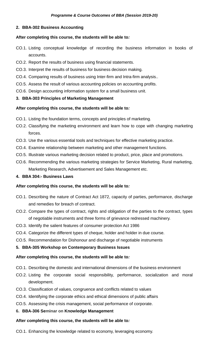# **2. BBA-302 Business Accounting**

# **After completing this course, the students will be able to***:*

- CO.1. Listing conceptual knowledge of recording the business information in books of accounts.
- CO.2. Report the results of business using financial statements.
- CO.3. Interpret the results of business for business decision making.
- CO.4. Comparing results of business using Inter-firm and Intra-firm analysis..
- CO.5. Assess the result of various accounting policies on accounting profits.
- CO.6. Design accounting information system for a small business unit.

# **3. BBA-303 Principles of Marketing Management**

# **After completing this course, the students will be able to***:*

- CO.1. Listing the foundation terms, concepts and principles of marketing.
- CO.2. Classifying the marketing environment and learn how to cope with changing marketing forces.
- CO.3. Use the various essential tools and techniques for effective marketing practice.
- CO.4. Examine relationship between marketing and other management functions.
- CO.5. Illustrate various marketing decision related to product, price, place and promotions.
- CO.6. Recommending the various marketing strategies for Service Marketing, Rural marketing, Marketing Research, Advertisement and Sales Management etc.
- **4. BBA 304:- Business Laws**

#### **After completing this course, the students will be able to***:*

- CO.1. Describing the nature of Contract Act 1872, capacity of parties, performance, discharge and remedies for breach of contract.
- CO.2. Compare the types of contract, rights and obligation of the parties to the contract, types of negotiable instruments and three forms of grievance redressed machinery.
- CO.3. Identify the salient features of consumer protection Act 1986
- CO.4. Categorize the different types of cheque, holder and holder in due course.
- CO.5. Recommendation for Dishonour and discharge of negotiable instruments

#### **5. BBA-305 Workshop on Contemporary Business Issues**

# **After completing this course, the students will be able to***:*

- CO.1. Describing the domestic and international dimensions of the business environment
- CO.2. Listing the corporate social responsibility, performance, socialization and moral development.
- CO.3. Classification of values, congruence and conflicts related to values
- CO.4. Identifying the corporate ethics and ethical dimensions of public affairs
- CO.5. Assessing the crisis management, social performance of corporate.
- **6. BBA-306 Seminar on Knowledge Management**

#### **After completing this course, the students will be able to***:*

CO.1. Enhancing the knowledge related to economy, leveraging economy.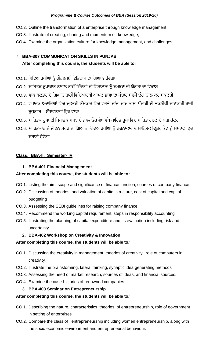- CO.2. Outline the transformation of a enterprise through knowledge management.
- CO.3. Illustrate of creating, sharing and momentum of knowledge,
- CO.4. Examine the organization culture for knowledge management, and challenges.

# 7. **BBA-307 COMMUNICATION SKILLS IN PUNJABI**

# **After completing this course, the students will be able to***:*

- CO.1. ਵਿਦਿਆਰਥੀਆਂ ਨੂੰ ਗੌਰਵਮਈ ਇਤਿਹਾਸ ਦਾ ਗਿਆਨ ਹੋਵੇਗਾ
- CO.2. ਸਾਹਿਤਕ ਰੂਪਾਕਾਰ ਨਾਵਲ ਰਾਹੀਂ ਜ਼ਿੰਦਗੀ ਦੀ ਵਿਸ਼ਾਲਤਾ ਨੂੰ ਸਮਝਣ ਦੀ ਯੋਗਤਾ ਦਾ ਵਿਕਾਸ
- CO.3. ਵਾਕ ਬਣਤਰ ਦੇ ਗਿਆਨ ਰਾਹੀਂ ਵਿਦਿਆਰਥੀ ਆਪਣੇ ਭਾਵਾਂ ਦਾ ਸੰਚਾਰ ਸੁਚੱਜੇ ਢੰਗ ਨਾਲ ਕਰ ਸਕਣਗੇ
- CO 4. ਵਪਾਰਕ ਅਦਾਰਿਆਂ ਵਿਚ ਦਫ਼ਤਰੀ ਕੰਮਕਾਜ ਵਿਚ ਵਰਤੀ ਜਾਂਦੀ ਰਾਜ ਭਾਸ਼ਾ ਪੰਜਾਬੀ ਦੀ ਤਕਨੀਕੀ ਜਾਣਕਾਰੀ ਰਾਹੀਂ ਰਜ਼ਗਾਰ ਸੰਭਾਵਨਾਵਾਂ ਵਿਚ ਵਾਧਾ
- CO.5. ਸਾਹਿਤਕ ਰੂਪਾਂ ਦੀ ਸਿਧਾਂਤਕ ਸਮਝ ਦੇ ਨਾਲ ਉਹ ਵੱਖ ਵੱਖ ਸਾਹਿਤ ਰੂਪਾਂ ਵਿਚ ਸਾਹਿਤ ਰਚਣ ਦੇ ਯੋਗ ਹੋਣਗੇ
- CO.6. ਸਾਹਿਤਕਾਰ ਦੇ ਜੀਵਨ ਸਫ਼ਰ ਦਾ ਗਿਆਨ ਵਿਦਿਆਰਥੀਆਂ ਨੂੰ ਰਚਨਾਕਾਰ ਦੇ ਸਾਹਿਤਕ ਦ੍ਰਿਸ਼ਟੀਕੋਣ ਨੂੰ ਸਮਝਣ ਵਿਚ ਸਹਾਈ ਹੋਵੇਗਾ

# **Class: BBA-II, Semester- IV**

# **1. BBA-401 Financial Management**

# **After completing this course, the students will be able to***:*

- CO.1. Listing the aim, scope and significance of finance function, sources of company finance.
- CO.2. Discussion of theories and valuation of capital structure, cost of capital and capital budgeting
- CO.3. Assessing the SEBI guidelines for raising company finance.
- CO.4. Recommend the working capital requirement, steps in responsibility accounting
- CO.5. Illustrating the planning of capital expenditure and its evaluation including risk and uncertainty.
	- **2. BBA-402 Workshop on Creativity & Innovation**

# **After completing this course, the students will be able to***:*

- CO.1. Discussing the creativity in management, theories of creativity, role of computers in creativity.
- CO.2. Illustrate the brainstorming, lateral thinking, synaptic idea generating methods
- CO.3. Assessing the need of market research, sources of ideas, and financial sources.
- CO.4. Examine the case-histories of renowned companies

# **3. BBA-403 Seminar on Entrepreneurship**

- CO.1. Describing the nature, characteristics, theories of entrepreneurship, role of government in setting of enterprises
- CO.2. Compare the class of entrepreneurship including women entrepreneurship, along with the socio economic environment and entrepreneurial behaviour.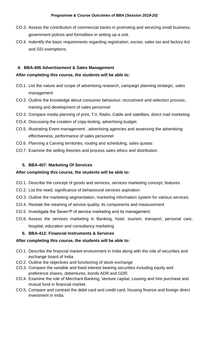- CO.3. Assess the contribution of commercial banks in promoting and servicing small business, government polices and formalities in setting up a unit.
- CO.4. Indentify the basic requirements regarding registration, excise, sales tax and factory Act and SSI exemptions.

# **4. BBA-406 Advertisement & Sales Management**

# **After completing this course, the students will be able to***:*

- CO.1. List the nature and scope of advertising research, campaign planning strategic, sales management
- CO.2. Outline the knowledge about consumer behaviour, recruitment and selection process , training and development of sales personnel
- CO.3. Compare media planning of print, T.V, Radio, Cable and satellites, direct mail marketing
- CO.4. Discussing the creation of copy-testing, advertising budget.
- CO.5. Illustrating Event management , advertising agencies and assessing the advertising effectiveness, performance of sales personnel
- CO.6. Planning a Carving territories, routing and scheduling, sales quotas
- CO.7. Examine the selling theories and process sales ethics and distribution.

# **5. BBA-407: Marketing Of Services**

# **After completing this course, the students will be able to***:*

- CO.1. Describe the concept of goods and services, services marketing concept, features.
- CO.2. List the need, significance of behavioural services aspiration.
- CO.3. Outline the marketing segmentation, marketing information system for various services.
- CO.4. Restate the meaning of service quality, its components and measurement
- CO.5. Investigate the Seven'P of service marketing and its management.
- CO.6. Assess the services marketing in Banking, hotel, tourism, transport, personal care, hospital, education and consultancy marketing

# **6. BBA-412: Financial Instruments & Services**

- CO.1. Describe the financial market environment in India along with the role of securities and exchange board of India
- CO.2. Outline the objectives and functioning of stock exchange
- CO.3. Compare the variable and fixed interest bearing securities including equity and preference shares, debentures, bonds ADR and GDR.
- CO.4. Examine the role of Merchant Banking, Venture capital, Leasing and hire purchase and mutual fund in financial market.
- CO.5. Compare and contrast the debit card and credit card, housing finance and foreign direct investment in India.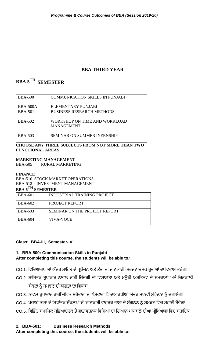# **BBA THIRD YEAR**

# **BBA 5TH SEMESTER**

| <b>BBA-500</b>  | <b>COMMUNICATION SKILLS IN PUNJABI</b>             |
|-----------------|----------------------------------------------------|
| <b>BBA-500A</b> | ELEMENTARY PUNJABI                                 |
| <b>BBA-501</b>  | <b>BUSINESS RESEARCH METHODS</b>                   |
| <b>BBA-502</b>  | WORKSHOP ON TIME AND WORKLOAD<br><b>MANAGEMENT</b> |
| <b>BBA-503</b>  | <b>SEMINAR ON SUMMER INERNSHIP</b>                 |

# **CHOOSE ANY THREE SUBJECTS FROM NOT MORE THAN TWO FUNCTIONAL AREAS**

**MARKETING MANAGEMENT**

BBA-505 RURAL MARKETING

# **FINANCE**

BBA-510 STOCK MARKET OPERATIONS BBA-512 INVESTMENT MANAGEMENT

# **BBA 6TH SEMESTER**

| <b>BBA-601</b> | <b>INDUSTRIAL TRAINING PROJECT</b> |
|----------------|------------------------------------|
| <b>BBA-602</b> | PROJECT REPORT                     |
| <b>BBA-603</b> | SEMINAR ON THE PROJECT REPORT      |
| <b>BBA-604</b> | VIVA-VOCE                          |

# **Class: BBA-III, Semester- V**

# **1. BBA-500: Communication Skills in Punjabi After completing this course, the students will be able to***:*

- CO.1. ਵਿਦਿਆਰਥੀਆਂ ਅੰਦਰ ਸਾਹਿਤ ਦੇ ਪ੍ਰਯੋਜਨ ਅਤੇ ਤੱਤਾਂ ਦੀ ਜਾਣਕਾਰੀ ਸਿਰਜਣਾਤਮਕ ਰੁਚੀਆਂ ਦਾ ਵਿਕਾਸ ਕਰੇਗੀ
- CO.2. ਸਾਹਿਤਕ ਰੂਪਾਕਾਰ ਨਾਵਲ ਰਾਹੀਂ ਜ਼ਿੰਦਗੀ ਦੀ ਵਿਸ਼ਾਲਤਾ ਅਤੇ ਮਨੁੱਖੀ ਅਸਤਿਤਵ ਦੇ ਸਮਕਾਲੀ ਅਤੇ ਚਿਰਕਾਲੀ ਸੰਕਟਾਂ ਨੂੰ ਸਮਝਣ ਦੀ ਯੋਗਤਾ ਦਾ ਵਿਕਾਸ
- CO.3. ਨਾਵਲ ਰੂਪਾਕਾਰ ਰਾਹੀੰ ਜੀਵਨ ਸਰੋਕਾਰਾਂ ਦੀ ਪੇਸ਼ਕਾਰੀ ਵਿਦਿਆਰਥੀਆਂ ਅੰਦਰ ਮਾਨਵੀ ਸੰਵੇਦਨਾ ਨੂੰ ਜਗਾਏਗੀ
- CO.4. ਪੰਜਾਬੀ ਭਾਸ਼ਾ ਦੇ ਸਿਧਾਂਤਕ ਸੰਕਲਪਾਂ ਦੀ ਜਾਣਕਾਰੀ ਵਾਹਰਕ ਭਾਸ਼ਾ ਦੇ ਸੰਗਠਨ ਨੂੰ ਸਮਝਣ ਵਿਚ ਸਹਾਈ ਹੋਵੇਗਾ
- CO.5. ਵਿਭਿੰਨ ਸਮਾਜਿਕ ਸਭਿਆਚਰਕ ਤੇ ਵਾਤਾਵਰਨਕ ਵਿਸ਼ਿਆਂ ਦਾ ਗਿਆਨ ਮੁਕਾਬਲੇ ਦੀਆਂ ਪ੍ਰੀਖਿਆਵਾਂ ਵਿਚ ਸਹਾਇਕ

**2. BBA-501: Business Research Methods**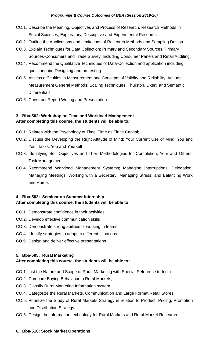- CO.1. Describe the Meaning, Objectives and Process of Research, Research Methods in Social Sciences, Exploratory, Descriptive and Experimental Research.
- CO.2. Outline the Applications and Limitations of Research Methods and Sampling Design
- CO.3. Explain Techniques for Data Collection; Primary and Secondary Sources, Primary Sources-Consumers and Trade Survey, Including Consumer Panels and Retail Auditing.
- CO.4. Recommend the Qualitative Techniques of Data-Collection and application including questionnaire Designing and protesting.
- CO.5. Assess difficulties in Measurement and Concepts of Validity and Reliability; Attitude Measurement General Methods; Scaling Techniques: Thurston, Likert, and Semantic **Differentials**
- CO.6. Construct Report Writing and Presentation

# **3. Bba-502: Workshop on Time and Workload Management After completing this course, the students will be able to***:*

- CO.1. Relates with the Psychology of Time; Time as Finite Capital;
- CO.2. Discuss the Developing the Right Attitude of Mind; Your Current Use of Mind; You and Your Tasks; You and Yourself
- CO.3. Identifying Self Objectives and Their Methodologies for Completion; Your and Others. Task Management
- CO.4. Recommend Workload Management Systems; Managing Interruptions; Delegation; Managing Meetings; Working with a Secretary; Managing Stress; and Balancing Work and Home.

# **4. Bba-503: Seminar on Summer Internship After completing this course, the students will be able to:**

- CO.1. Demonstrate confidence in their activities
- CO.2. Develop effective communication skills
- CO.3. Demonstrate strong abilities of working in teams
- CO.4. Identify strategies to adapt to different situations
- **CO.5.** Design and deliver effective presentations

# **5. Bba-505: Rural Marketing**

# **After completing this course, the students will be able to***:*

- CO.1. List the Nature and Scope of Rural Marketing with Special Reference to India
- CO.2. Compare Buying Behaviour in Rural Markets,
- CO.3. Classify Rural Marketing Information system
- CO.4. Categorize the Rural Markets, Communication and Large Format Retail Stores.
- CO.5. Prioritize the Study of Rural Markets Strategy in relation to Product, Pricing, Promotion and Distribution Strategy.
- CO.6. Design the information technology for Rural Markets and Rural Market Research.

#### **6. Bba-510: Stock Market Operations**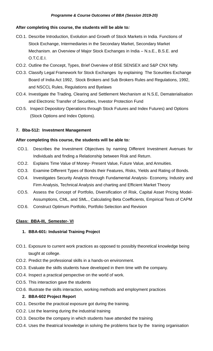# **After completing this course, the students will be able to***:*

- CO.1. Describe Introduction, Evolution and Growth of Stock Markets in India. Functions of Stock Exchange, Intermediaries in the Secondary Market, Secondary Market Mechanism. an Overview of Major Stock Exchanges in India – N.s.E., B.S.E. and O.T.C.E.I.
- CO.2. Outline the Concept, Types, Brief Overview of BSE SENSEX and S&P CNX Nifty.
- CO.3. Classify Legal Framework for Stock Exchanges by explaining The Sceurities Exchange Board of India Act 1992, Stock Brokers and Sub Brokers Rules and Regulations, 1992, and NSCCL Rules, Regulations and Byelaws
- CO.4. Investigate the Trading, Clearing and Settlement Mechanism at N.S.E, Dematerialisation and Electronic Transfer of Securities, Investor Protection Fund
- CO.5. Inspect Depository Operations through Stock Futures and Index Futures) and Options (Stock Options and Index Options).

# **7. Bba-512: Investment Management**

# **After completing this course, the students will be able to***:*

- CO.1. Describes the Investment Objectives by naming Different Investment Avenues for Individuals and finding a Relationship between Risk and Return.
- CO.2. Explains Time Value of Money- Present Value, Future Value, and Annuities.
- CO.3. Examine Different Types of Bonds their Features, Risks, Yields and Rating of Bonds.
- CO.4. Investigates Security Analysis through Fundamental Analysis- Economy, Industry and Firm Analysis, Technical Analysis and charting and Efficient Market Theory
- CO.5. Assess the Concept of Portfolio, Diversification of Risk, Capital Asset Pricing Model-Assumptions, CML, and SML., Calculating Beta Coefficients, Empirical Tests of CAPM
- CO.6. Construct Optimum Portfolio, Portfolio Selection and Revision

# **Class: BBA-III, Semester- VI**

# **1. BBA-601: Industrial Training Project**

- CO.1. Exposure to current work practices as opposed to possibly theoretical knowledge being taught at college.
- CO.2. Predict the professional skills in a hands-on environment.
- CO.3. Evaluate the skills students have developed in them time with the company.
- CO.4. Inspect a practical perspective on the world of work.
- CO.5. This interaction gave the students
- CO.6. Illustrate the skills interaction, working methods and employment practices

#### **2. BBA-602 Project Report**

- CO.1. Describe the practical exposure got during the training.
- CO.2. List the learning during the industrial training
- CO.3. Describe the company in which students have attended the training
- CO.4. Uses the theatrical knowledge in solving the problems face by the traning organisation